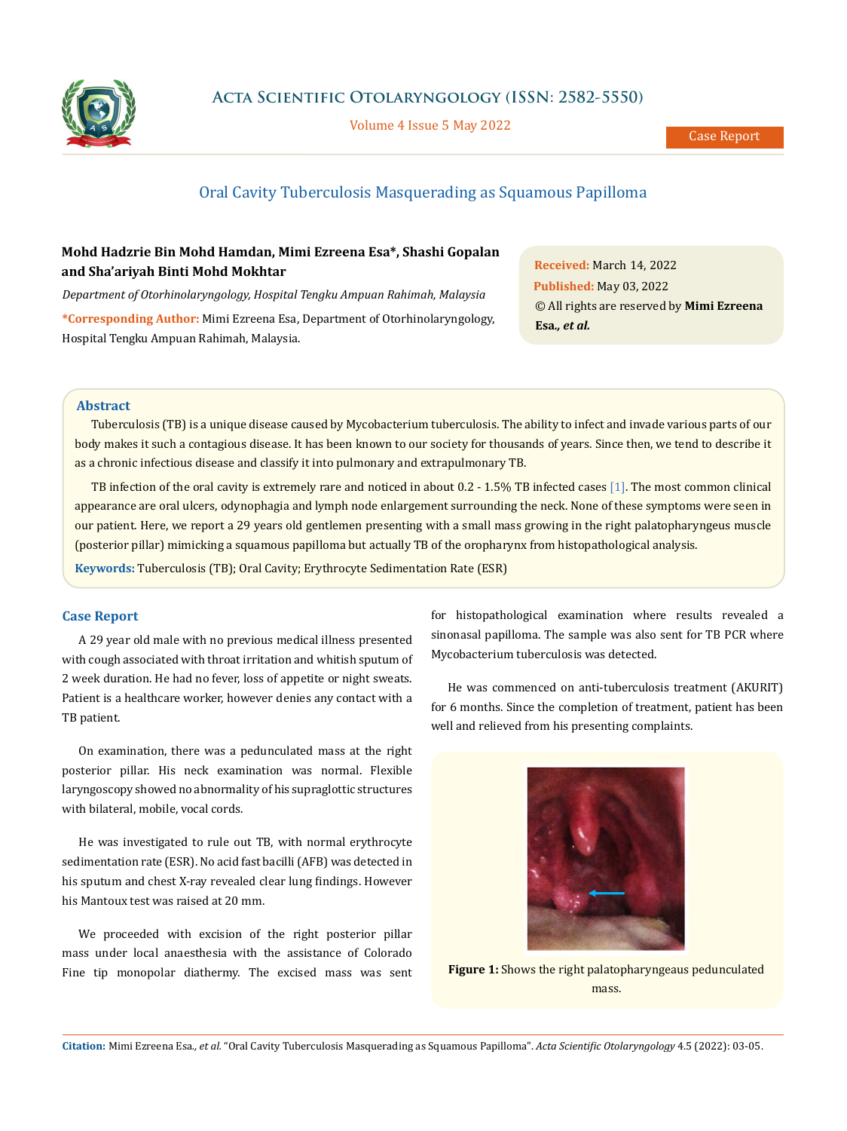

**Acta Scientific Otolaryngology (ISSN: 2582-5550)**

Volume 4 Issue 5 May 2022

# Oral Cavity Tuberculosis Masquerading as Squamous Papilloma

## **Mohd Hadzrie Bin Mohd Hamdan, Mimi Ezreena Esa\*, Shashi Gopalan and Sha'ariyah Binti Mohd Mokhtar**

*Department of Otorhinolaryngology, Hospital Tengku Ampuan Rahimah, Malaysia*

**\*Corresponding Author:** Mimi Ezreena Esa, Department of Otorhinolaryngology, Hospital Tengku Ampuan Rahimah, Malaysia.

**Received:** March 14, 2022 **Published:** May 03, 2022 © All rights are reserved by **Mimi Ezreena Esa***., et al.* 

## **Abstract**

Tuberculosis (TB) is a unique disease caused by Mycobacterium tuberculosis. The ability to infect and invade various parts of our body makes it such a contagious disease. It has been known to our society for thousands of years. Since then, we tend to describe it as a chronic infectious disease and classify it into pulmonary and extrapulmonary TB.

TB infection of the oral cavity is extremely rare and noticed in about 0.2 - 1.5% TB infected cases [1]. The most common clinical appearance are oral ulcers, odynophagia and lymph node enlargement surrounding the neck. None of these symptoms were seen in our patient. Here, we report a 29 years old gentlemen presenting with a small mass growing in the right palatopharyngeus muscle (posterior pillar) mimicking a squamous papilloma but actually TB of the oropharynx from histopathological analysis.

**Keywords:** Tuberculosis (TB); Oral Cavity; Erythrocyte Sedimentation Rate (ESR)

#### **Case Report**

A 29 year old male with no previous medical illness presented with cough associated with throat irritation and whitish sputum of 2 week duration. He had no fever, loss of appetite or night sweats. Patient is a healthcare worker, however denies any contact with a TB patient.

On examination, there was a pedunculated mass at the right posterior pillar. His neck examination was normal. Flexible laryngoscopy showed no abnormality of his supraglottic structures with bilateral, mobile, vocal cords.

He was investigated to rule out TB, with normal erythrocyte sedimentation rate (ESR). No acid fast bacilli (AFB) was detected in his sputum and chest X-ray revealed clear lung findings. However his Mantoux test was raised at 20 mm.

We proceeded with excision of the right posterior pillar mass under local anaesthesia with the assistance of Colorado Fine tip monopolar diathermy. The excised mass was sent for histopathological examination where results revealed a sinonasal papilloma. The sample was also sent for TB PCR where Mycobacterium tuberculosis was detected.

He was commenced on anti-tuberculosis treatment (AKURIT) for 6 months. Since the completion of treatment, patient has been well and relieved from his presenting complaints.



**Figure 1:** Shows the right palatopharyngeaus pedunculated mass.

**Citation:** Mimi Ezreena Esa*., et al.* "Oral Cavity Tuberculosis Masquerading as Squamous Papilloma". *Acta Scientific Otolaryngology* 4.5 (2022): 03-05.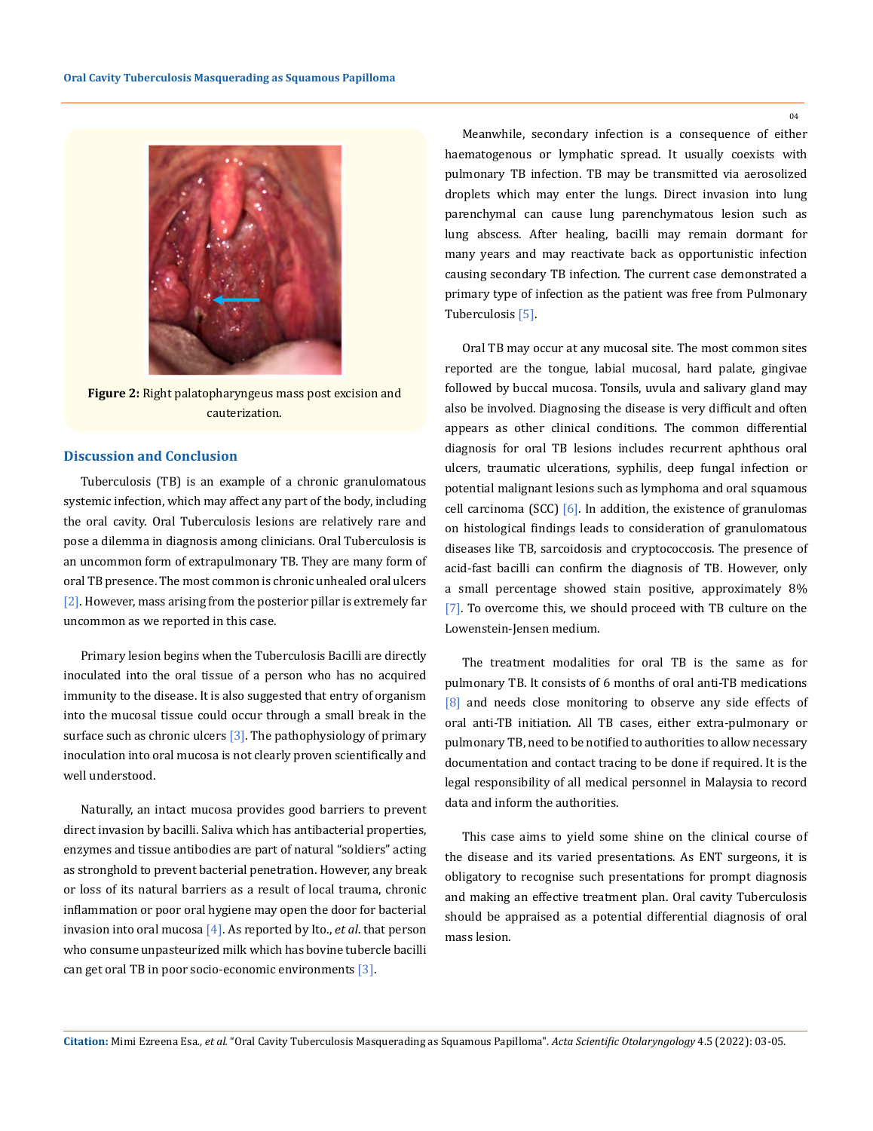

**Figure 2:** Right palatopharyngeus mass post excision and cauterization.

## **Discussion and Conclusion**

Tuberculosis (TB) is an example of a chronic granulomatous systemic infection, which may affect any part of the body, including the oral cavity. Oral Tuberculosis lesions are relatively rare and pose a dilemma in diagnosis among clinicians. Oral Tuberculosis is an uncommon form of extrapulmonary TB. They are many form of oral TB presence. The most common is chronic unhealed oral ulcers [2]. However, mass arising from the posterior pillar is extremely far uncommon as we reported in this case.

Primary lesion begins when the Tuberculosis Bacilli are directly inoculated into the oral tissue of a person who has no acquired immunity to the disease. It is also suggested that entry of organism into the mucosal tissue could occur through a small break in the surface such as chronic ulcers  $[3]$ . The pathophysiology of primary inoculation into oral mucosa is not clearly proven scientifically and well understood.

Naturally, an intact mucosa provides good barriers to prevent direct invasion by bacilli. Saliva which has antibacterial properties, enzymes and tissue antibodies are part of natural "soldiers" acting as stronghold to prevent bacterial penetration. However, any break or loss of its natural barriers as a result of local trauma, chronic inflammation or poor oral hygiene may open the door for bacterial invasion into oral mucosa [4]. As reported by Ito., *et al*. that person who consume unpasteurized milk which has bovine tubercle bacilli can get oral TB in poor socio-economic environments [3].

Meanwhile, secondary infection is a consequence of either haematogenous or lymphatic spread. It usually coexists with pulmonary TB infection. TB may be transmitted via aerosolized droplets which may enter the lungs. Direct invasion into lung parenchymal can cause lung parenchymatous lesion such as lung abscess. After healing, bacilli may remain dormant for many years and may reactivate back as opportunistic infection causing secondary TB infection. The current case demonstrated a primary type of infection as the patient was free from Pulmonary Tuberculosis [5].

Oral TB may occur at any mucosal site. The most common sites reported are the tongue, labial mucosal, hard palate, gingivae followed by buccal mucosa. Tonsils, uvula and salivary gland may also be involved. Diagnosing the disease is very difficult and often appears as other clinical conditions. The common differential diagnosis for oral TB lesions includes recurrent aphthous oral ulcers, traumatic ulcerations, syphilis, deep fungal infection or potential malignant lesions such as lymphoma and oral squamous cell carcinoma (SCC)  $[6]$ . In addition, the existence of granulomas on histological findings leads to consideration of granulomatous diseases like TB, sarcoidosis and cryptococcosis. The presence of acid-fast bacilli can confirm the diagnosis of TB. However, only a small percentage showed stain positive, approximately 8% [7]. To overcome this, we should proceed with TB culture on the Lowenstein-Jensen medium.

The treatment modalities for oral TB is the same as for pulmonary TB. It consists of 6 months of oral anti-TB medications [8] and needs close monitoring to observe any side effects of oral anti-TB initiation. All TB cases, either extra-pulmonary or pulmonary TB, need to be notified to authorities to allow necessary documentation and contact tracing to be done if required. It is the legal responsibility of all medical personnel in Malaysia to record data and inform the authorities.

This case aims to yield some shine on the clinical course of the disease and its varied presentations. As ENT surgeons, it is obligatory to recognise such presentations for prompt diagnosis and making an effective treatment plan. Oral cavity Tuberculosis should be appraised as a potential differential diagnosis of oral mass lesion.

 $04$